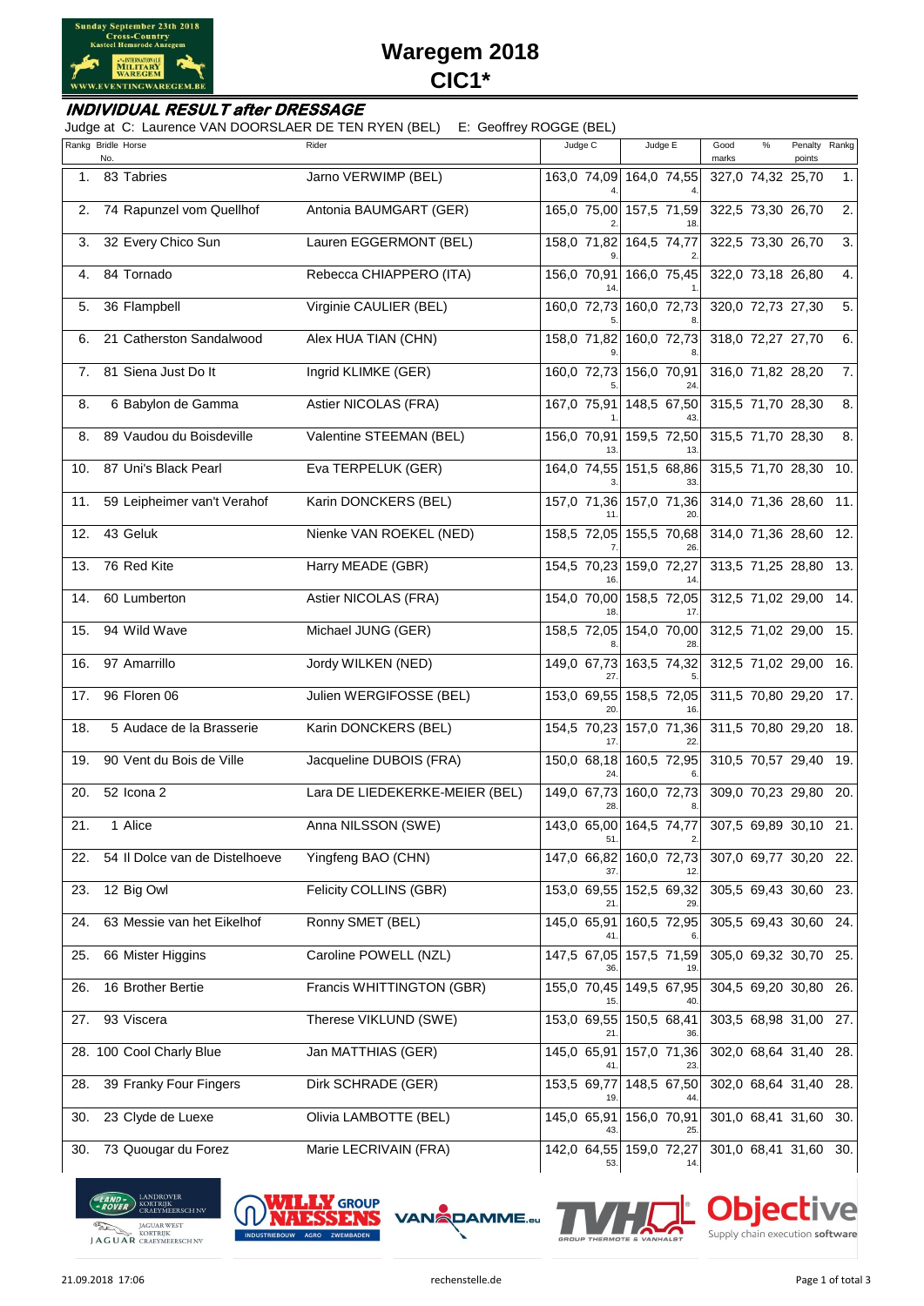

# **Waregem 2018 CIC1\***

#### **INDIVIDUAL RESULT after DRESSAGE**

Judge at C: Laurence VAN DOORSLAER DE TEN RYEN (BEL) E: Geoffrey ROGGE (BEL)

| Rankg Bridle Horse | No. |                                | Rider                          | Judge C            | Judge E                        | Good<br>marks | %                 | Penalty<br>points     | Rankg |
|--------------------|-----|--------------------------------|--------------------------------|--------------------|--------------------------------|---------------|-------------------|-----------------------|-------|
| 1.                 |     | 83 Tabries                     | Jarno VERWIMP (BEL)            |                    | 163,0 74,09 164,0 74,55        |               | 327,0 74,32 25,70 |                       | 1.    |
| 2.                 |     | 74 Rapunzel vom Quellhof       | Antonia BAUMGART (GER)         |                    | 165,0 75,00 157,5 71,59        |               | 322,5 73,30 26,70 |                       | 2.    |
| 3.                 |     | 32 Every Chico Sun             | Lauren EGGERMONT (BEL)         |                    | 158,0 71,82 164,5 74,77        |               | 322,5 73,30 26,70 |                       | 3.    |
| 4.                 |     | 84 Tornado                     | Rebecca CHIAPPERO (ITA)        | 156,0 70,91        | 166,0 75,45                    |               | 322,0 73,18 26,80 |                       | 4.    |
| 5.                 |     | 36 Flampbell                   | Virginie CAULIER (BEL)         |                    | 160,0 72,73 160,0 72,73        |               | 320,0 72,73 27,30 |                       | 5.    |
| 6.                 |     | 21 Catherston Sandalwood       | Alex HUA TIAN (CHN)            |                    | 158,0 71,82 160,0 72,73        |               | 318,0 72,27 27,70 |                       | 6.    |
| 7.                 |     | 81 Siena Just Do It            | Ingrid KLIMKE (GER)            |                    | 160,0 72,73 156,0 70,91        |               | 316,0 71,82 28,20 |                       | 7.    |
| 8.                 |     | 6 Babylon de Gamma             | Astier NICOLAS (FRA)           | 167,0 75,91        | 148,5 67,50                    |               | 315,5 71,70 28,30 |                       | 8.    |
| 8.                 |     | 89 Vaudou du Boisdeville       | Valentine STEEMAN (BEL)        | 156,0 70,91        | 159,5 72,50                    |               | 315,5 71,70 28,30 |                       | 8.    |
| 10.                |     | 87 Uni's Black Pearl           | Eva TERPELUK (GER)             |                    | 164,0 74,55 151,5 68,86        |               |                   | 315,5 71,70 28,30     | 10.   |
| 11.                |     | 59 Leipheimer van't Verahof    | Karin DONCKERS (BEL)           |                    | 157,0 71,36 157,0 71,36        |               |                   | 314,0 71,36 28,60 11. |       |
| 12.                |     | 43 Geluk                       | Nienke VAN ROEKEL (NED)        |                    | 158,5 72,05 155,5 70,68        |               |                   | 314,0 71,36 28,60     | 12.   |
| 13.                |     | 76 Red Kite                    | Harry MEADE (GBR)              |                    | 154,5 70,23 159,0 72,27        |               |                   | 313,5 71,25 28,80     | 13.   |
| 14.                |     | 60 Lumberton                   | Astier NICOLAS (FRA)           |                    | 154,0 70,00 158,5 72,05        |               |                   | 312,5 71,02 29,00     | 14.   |
| 15.                |     | 94 Wild Wave                   | Michael JUNG (GER)             |                    | 158,5 72,05 154,0 70,00        |               |                   | 312,5 71,02 29,00     | 15.   |
| 16.                |     | 97 Amarrillo                   | Jordy WILKEN (NED)             | 149,0 67,73        | 163,5 74,32                    |               |                   | 312,5 71,02 29,00     | 16.   |
| 17.                |     | 96 Floren 06                   | Julien WERGIFOSSE (BEL)        |                    | 153,0 69,55 158,5 72,05        |               |                   | 311,5 70,80 29,20     | 17.   |
| 18.                |     | 5 Audace de la Brasserie       | Karin DONCKERS (BEL)           | 154,5 70,23        | 157,0 71,36                    |               |                   | 311,5 70,80 29,20     | 18.   |
| 19.                |     | 90 Vent du Bois de Ville       | Jacqueline DUBOIS (FRA)        | 150,0 68,18<br>24. | 160,5 72,95                    |               |                   | 310,5 70,57 29,40     | 19.   |
| 20.                |     | 52 Icona 2                     | Lara DE LIEDEKERKE-MEIER (BEL) |                    | 149,0 67,73 160,0 72,73        |               |                   | 309,0 70,23 29,80     | 20.   |
| 21.                |     | 1 Alice                        | Anna NILSSON (SWE)             | 51.                | 143,0 65,00 164,5 74,77<br>2.  |               |                   | 307,5 69,89 30,10     | 21.   |
| 22.                |     | 54 Il Dolce van de Distelhoeve | Yingfeng BAO (CHN)             | 147,0 66,82<br>37. | 160,0 72,73                    |               |                   | 307,0 69,77 30,20 22. |       |
| 23.                |     | 12 Big Owl                     | Felicity COLLINS (GBR)         |                    | 153,0 69,55 152,5 69,32        |               |                   | 305,5 69,43 30,60 23. |       |
| 24.                |     | 63 Messie van het Eikelhof     | Ronny SMET (BEL)               | 145,0 65,91        | 160,5 72,95                    |               |                   | 305,5 69,43 30,60 24. |       |
| 25.                |     | 66 Mister Higgins              | Caroline POWELL (NZL)          | 147,5 67,05        | 157,5 71,59                    |               |                   | 305,0 69,32 30,70     | 25.   |
| 26.                |     | 16 Brother Bertie              | Francis WHITTINGTON (GBR)      | 155,0 70,45        | 149,5 67,95                    |               |                   | 304,5 69,20 30,80     | 26.   |
| 27.                |     | 93 Viscera                     | Therese VIKLUND (SWE)          | 153,0 69,55        | 150,5 68,41                    |               |                   | 303,5 68,98 31,00     | 27.   |
|                    |     | 28. 100 Cool Charly Blue       | Jan MATTHIAS (GER)             | 145,0 65,91<br>41. | 157,0 71,36<br>23.             |               |                   | 302,0 68,64 31,40     | 28.   |
| 28.                |     | 39 Franky Four Fingers         | Dirk SCHRADE (GER)             | 153,5 69,77<br>19  | 148,5 67,50                    |               |                   | 302,0 68,64 31,40 28. |       |
| 30.                |     | 23 Clyde de Luexe              | Olivia LAMBOTTE (BEL)          | 145,0 65,91        | 156,0 70,91<br>25              |               |                   | 301,0 68,41 31,60     | 30.   |
| 30.                |     | 73 Quougar du Forez            | Marie LECRIVAIN (FRA)          | 53.                | 142,0 64,55 159,0 72,27<br>14. |               |                   | 301,0 68,41 31,60 30. |       |

**LAND BEARD ROBER**<br>**EROVER** CRAEYMEERSCH NV JAGUAR WEST





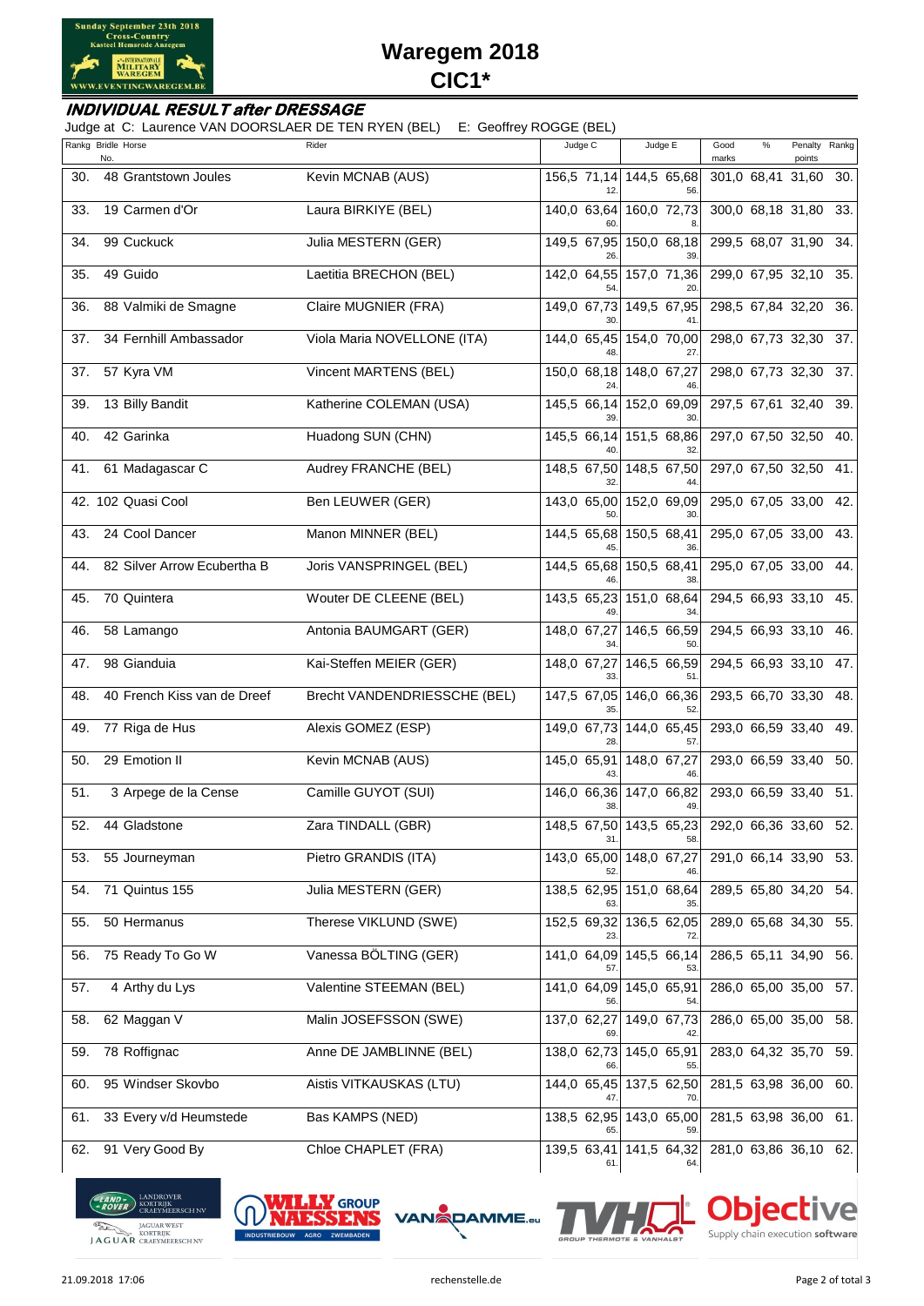

# **Waregem 2018 CIC1\***

#### **INDIVIDUAL RESULT after DRESSAGE**

Judge at C: Laurence VAN DOORSLAER DE TEN RYEN (BEL) E: Geoffrey ROGGE (BEL)

|     | Rankg Bridle Horse<br>No.   | Rider                        | Judge C            | Judge E                        | Good<br>%<br>Penalty<br>marks<br>points | Rankg |
|-----|-----------------------------|------------------------------|--------------------|--------------------------------|-----------------------------------------|-------|
| 30. | 48 Grantstown Joules        | Kevin MCNAB (AUS)            |                    | 156,5 71,14 144,5 65,68<br>56  | 301,0 68,41 31,60 30.                   |       |
| 33. | 19 Carmen d'Or              | Laura BIRKIYE (BEL)          | 140,0 63,64        | 160,0 72,73                    | 300,0 68,18 31,80 33.                   |       |
| 34. | 99 Cuckuck                  | Julia MESTERN (GER)          | 149,5 67,95        | 150,0 68,18                    | 299,5 68,07 31,90 34.                   |       |
| 35. | 49 Guido                    | Laetitia BRECHON (BEL)       | 54                 | 142,0 64,55 157,0 71,36        | 299,0 67,95 32,10 35.                   |       |
| 36. | 88 Valmiki de Smagne        | Claire MUGNIER (FRA)         | 149,0 67,73        | 149,5 67,95                    | 298,5 67,84 32,20 36.                   |       |
| 37. | 34 Fernhill Ambassador      | Viola Maria NOVELLONE (ITA)  |                    | 144,0 65,45 154,0 70,00        | 298,0 67,73 32,30 37.                   |       |
| 37. | 57 Kyra VM                  | Vincent MARTENS (BEL)        | 150,0 68,18        | 148,0 67,27                    | 298,0 67,73 32,30 37.                   |       |
| 39. | 13 Billy Bandit             | Katherine COLEMAN (USA)      | 145,5 66,14        | 152,0 69,09                    | 297,5 67,61 32,40 39.                   |       |
| 40. | 42 Garinka                  | Huadong SUN (CHN)            | 145,5 66,14        | 151,5 68,86                    | 297,0 67,50 32,50 40.                   |       |
| 41. | 61 Madagascar C             | Audrey FRANCHE (BEL)         |                    | 148,5 67,50 148,5 67,50        | 297,0 67,50 32,50 41.                   |       |
|     | 42. 102 Quasi Cool          | Ben LEUWER (GER)             |                    | 143,0 65,00 152,0 69,09        | 295,0 67,05 33,00 42.                   |       |
| 43. | 24 Cool Dancer              | Manon MINNER (BEL)           |                    | 144,5 65,68 150,5 68,41        | 295,0 67,05 33,00 43.                   |       |
| 44. | 82 Silver Arrow Ecubertha B | Joris VANSPRINGEL (BEL)      | 144,5 65,68        | 150,5 68,41<br>38              | 295,0 67,05 33,00 44.                   |       |
| 45. | 70 Quintera                 | Wouter DE CLEENE (BEL)       |                    | 143,5 65,23 151,0 68,64        | 294,5 66,93 33,10 45.                   |       |
| 46. | 58 Lamango                  | Antonia BAUMGART (GER)       | 148,0 67,27        | 146,5 66,59                    | 294,5 66,93 33,10 46.                   |       |
| 47. | 98 Gianduia                 | Kai-Steffen MEIER (GER)      | 148,0 67,27<br>33  | 146,5 66,59<br>51.             | 294,5 66,93 33,10 47.                   |       |
| 48. | 40 French Kiss van de Dreef | Brecht VANDENDRIESSCHE (BEL) | 147,5 67,05        | 146,0 66,36<br>52              | 293,5 66,70 33,30 48.                   |       |
| 49. | 77 Riga de Hus              | Alexis GOMEZ (ESP)           | 149,0 67,73        | 144,0 65,45                    | 293,0 66,59 33,40                       | 49.   |
| 50. | 29 Emotion II               | Kevin MCNAB (AUS)            | 145,0 65,91        | 148,0 67,27                    | 293,0 66,59 33,40                       | 50.   |
| 51. | 3 Arpege de la Cense        | Camille GUYOT (SUI)          |                    | 146,0 66,36 147,0 66,82        | 293,0 66,59 33,40                       | 51.   |
| 52. | 44 Gladstone                | Zara TINDALL (GBR)           | 31.                | 148,5 67,50 143,5 65,23<br>58. | 292,0 66,36 33,60                       | 52.   |
| 53. | 55 Journeyman               | Pietro GRANDIS (ITA)         | 143,0 65,00<br>52  | $148,0$ 67,27                  | 291,0 66,14 33,90                       | 53.   |
| 54. | 71 Quintus 155              | Julia MESTERN (GER)          | 138,5 62,95        | 151,0 68,64<br>35              | 289,5 65,80 34,20                       | 54.   |
| 55. | 50 Hermanus                 | Therese VIKLUND (SWE)        | 152,5 69,32        | 136,5 62,05<br>72              | 289,0 65,68 34,30                       | 55.   |
| 56. | 75 Ready To Go W            | Vanessa BÖLTING (GER)        | 141,0 64,09<br>57. | 145,5 66,14<br>53.             | 286,5 65,11 34,90                       | 56.   |
| 57. | 4 Arthy du Lys              | Valentine STEEMAN (BEL)      | 141,0 64,09<br>56  | 145,0 65,91<br>54              | 286,0 65,00 35,00                       | 57.   |
| 58. | 62 Maggan V                 | Malin JOSEFSSON (SWE)        | 137,0 62,27<br>69  | 149,0 67,73                    | 286,0 65,00 35,00                       | 58.   |
| 59. | 78 Roffignac                | Anne DE JAMBLINNE (BEL)      | 138,0 62,73        | 145,0 65,91                    | 283,0 64,32 35,70 59.                   |       |
| 60. | 95 Windser Skovbo           | Aistis VITKAUSKAS (LTU)      | 47.                | 144,0 65,45 137,5 62,50<br>70. | 281,5 63,98 36,00                       | 60.   |
| 61. | 33 Every v/d Heumstede      | Bas KAMPS (NED)              |                    | 138,5 62,95 143,0 65,00        | 281,5 63,98 36,00 61.                   |       |
| 62. | 91 Very Good By             | Chloe CHAPLET (FRA)          | 61.                | 139,5 63,41 141,5 64,32<br>64. | 281,0 63,86 36,10 62.                   |       |